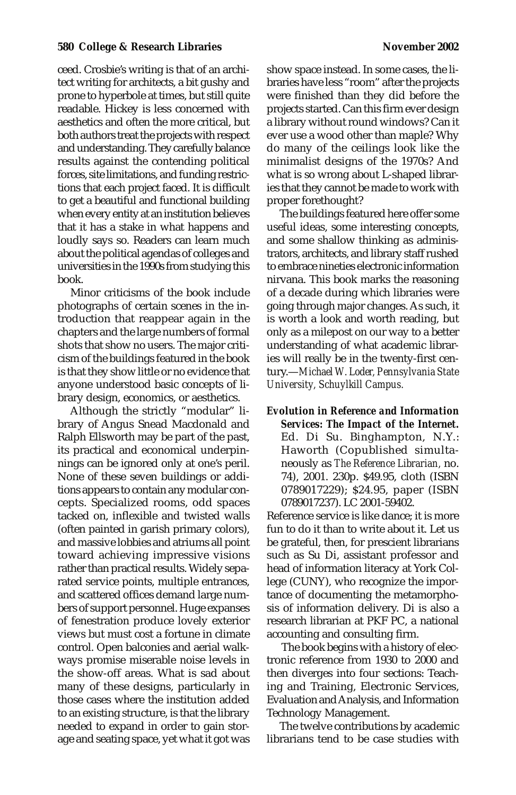## **580 College & Research Libraries 1880 College & Research Libraries 1880 2002**

ceed. Crosbie's writing is that of an architect writing for architects, a bit gushy and prone to hyperbole at times, but still quite readable. Hickey is less concerned with aesthetics and often the more critical, but both authors treat the projects with respect and understanding. They carefully balance results against the contending political forces, site limitations, and funding restrictions that each project faced. It is difficult to get a beautiful and functional building when every entity at an institution believes that it has a stake in what happens and loudly says so. Readers can learn much about the political agendas of colleges and universities in the 1990s from studying this book.

Minor criticisms of the book include photographs of certain scenes in the introduction that reappear again in the chapters and the large numbers of formal shots that show no users. The major criticism of the buildings featured in the book is that they show little or no evidence that anyone understood basic concepts of library design, economics, or aesthetics.

Although the strictly "modular" library of Angus Snead Macdonald and Ralph Ellsworth may be part of the past, its practical and economical underpinnings can be ignored only at one's peril. None of these seven buildings or additions appears to contain any modular concepts. Specialized rooms, odd spaces tacked on, inflexible and twisted walls (often painted in garish primary colors), and massive lobbies and atriums all point toward achieving impressive visions rather than practical results. Widely separated service points, multiple entrances, and scattered offices demand large numbers of support personnel. Huge expanses of fenestration produce lovely exterior views but must cost a fortune in climate control. Open balconies and aerial walkways promise miserable noise levels in the show-off areas. What is sad about many of these designs, particularly in those cases where the institution added to an existing structure, is that the library needed to expand in order to gain storage and seating space, yet what it got was

show space instead. In some cases, the libraries have less "room" after the projects were finished than they did before the projects started. Can this firm ever design a library without round windows? Can it ever use a wood other than maple? Why do many of the ceilings look like the minimalist designs of the 1970s? And what is so wrong about L-shaped libraries that they cannot be made to work with proper forethought?

The buildings featured here offer some useful ideas, some interesting concepts, and some shallow thinking as administrators, architects, and library staff rushed to embrace nineties electronic information nirvana. This book marks the reasoning of a decade during which libraries were going through major changes. As such, it is worth a look and worth reading, but only as a milepost on our way to a better understanding of what academic libraries will really be in the twenty-first century.—*Michael W. Loder, Pennsylvania State University, Schuylkill Campus.*

*Evolution in Reference and Information Services: The Impact of the Internet***.** Ed. Di Su. Binghampton, N.Y.: Haworth (Copublished simultaneously as *The Reference Librarian,* no. 74), 2001. 230p. \$49.95, cloth (ISBN 0789017229); \$24.95, paper (ISBN 0789017237). LC 2001-59402.

Reference service is like dance; it is more fun to do it than to write about it. Let us be grateful, then, for prescient librarians such as Su Di, assistant professor and head of information literacy at York College (CUNY), who recognize the importance of documenting the metamorphosis of information delivery. Di is also a research librarian at PKF PC, a national accounting and consulting firm.

 The book begins with a history of electronic reference from 1930 to 2000 and then diverges into four sections: Teaching and Training, Electronic Services, Evaluation and Analysis, and Information Technology Management.

The twelve contributions by academic librarians tend to be case studies with